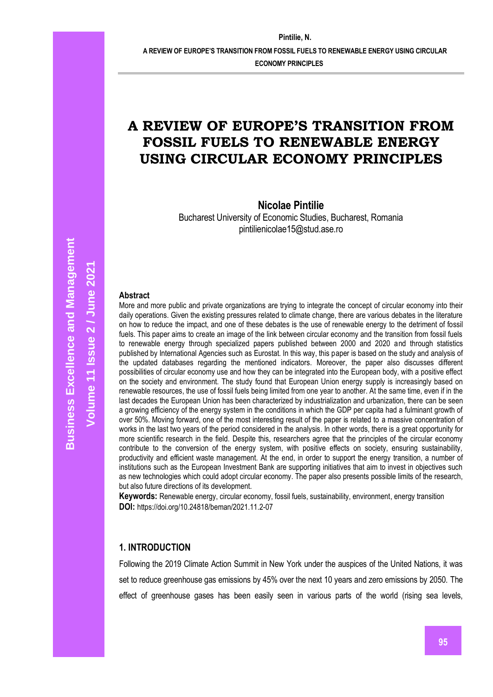**A REVIEW OF EUROPE'S TRANSITION FROM FOSSIL FUELS TO RENEWABLE ENERGY USING CIRCULAR** 

**ECONOMY PRINCIPLES**

# **A REVIEW OF EUROPE'S TRANSITION FROM FOSSIL FUELS TO RENEWABLE ENERGY USING CIRCULAR ECONOMY PRINCIPLES**

**Nicolae Pintilie**

Bucharest University of Economic Studies, Bucharest, Romania pintilienicolae15@stud.ase.ro

#### **Abstract**

More and more public and private organizations are trying to integrate the concept of circular economy into their daily operations. Given the existing pressures related to climate change, there are various debates in the literature on how to reduce the impact, and one of these debates is the use of renewable energy to the detriment of fossil fuels. This paper aims to create an image of the link between circular economy and the transition from fossil fuels to renewable energy through specialized papers published between 2000 and 2020 and through statistics published by International Agencies such as Eurostat. In this way, this paper is based on the study and analysis of the updated databases regarding the mentioned indicators. Moreover, the paper also discusses different possibilities of circular economy use and how they can be integrated into the European body, with a positive effect on the society and environment. The study found that European Union energy supply is increasingly based on renewable resources, the use of fossil fuels being limited from one year to another. At the same time, even if in the last decades the European Union has been characterized by industrialization and urbanization, there can be seen a growing efficiency of the energy system in the conditions in which the GDP per capita had a fulminant growth of over 50%. Moving forward, one of the most interesting result of the paper is related to a massive concentration of works in the last two years of the period considered in the analysis. In other words, there is a great opportunity for more scientific research in the field. Despite this, researchers agree that the principles of the circular economy contribute to the conversion of the energy system, with positive effects on society, ensuring sustainability, productivity and efficient waste management. At the end, in order to support the energy transition, a number of institutions such as the European Investment Bank are supporting initiatives that aim to invest in objectives such as new technologies which could adopt circular economy. The paper also presents possible limits of the research, but also future directions of its development.

**Keywords:** Renewable energy, circular economy, fossil fuels, sustainability, environment, energy transition **DOI:** https://doi.org/10.24818/beman/2021.11.2-07

#### **1. INTRODUCTION**

Following the 2019 Climate Action Summit in New York under the auspices of the United Nations, it was set to reduce greenhouse gas emissions by 45% over the next 10 years and zero emissions by 2050. The effect of greenhouse gases has been easily seen in various parts of the world (rising sea levels,

**Volume 11 Issue**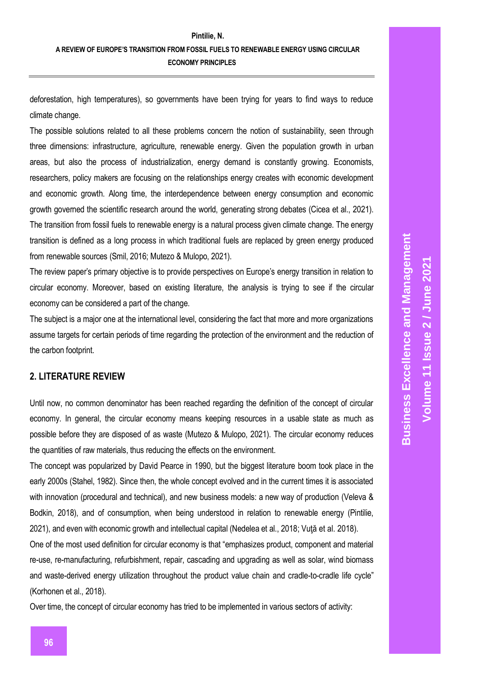deforestation, high temperatures), so governments have been trying for years to find ways to reduce climate change.

The possible solutions related to all these problems concern the notion of sustainability, seen through three dimensions: infrastructure, agriculture, renewable energy. Given the population growth in urban areas, but also the process of industrialization, energy demand is constantly growing. Economists, researchers, policy makers are focusing on the relationships energy creates with economic development and economic growth. Along time, the interdependence between energy consumption and economic growth governed the scientific research around the world, generating strong debates (Cicea et al., 2021). The transition from fossil fuels to renewable energy is a natural process given climate change. The energy transition is defined as a long process in which traditional fuels are replaced by green energy produced from renewable sources (Smil, 2016; Mutezo & Mulopo, 2021).

The review paper's primary objective is to provide perspectives on Europe's energy transition in relation to circular economy. Moreover, based on existing literature, the analysis is trying to see if the circular economy can be considered a part of the change.

The subject is a major one at the international level, considering the fact that more and more organizations assume targets for certain periods of time regarding the protection of the environment and the reduction of the carbon footprint.

# **2. LITERATURE REVIEW**

Until now, no common denominator has been reached regarding the definition of the concept of circular economy. In general, the circular economy means keeping resources in a usable state as much as possible before they are disposed of as waste (Mutezo & Mulopo, 2021). The circular economy reduces the quantities of raw materials, thus reducing the effects on the environment.

The concept was popularized by David Pearce in 1990, but the biggest literature boom took place in the early 2000s (Stahel, 1982). Since then, the whole concept evolved and in the current times it is associated with innovation (procedural and technical), and new business models: a new way of production (Veleva & Bodkin, 2018), and of consumption, when being understood in relation to renewable energy (Pintilie, 2021), and even with economic growth and intellectual capital (Nedelea et al., 2018; Vuţă et al. 2018).

One of the most used definition for circular economy is that "emphasizes product, component and material re-use, re-manufacturing, refurbishment, repair, cascading and upgrading as well as solar, wind biomass and waste-derived energy utilization throughout the product value chain and cradle-to-cradle life cycle" (Korhonen et al., 2018).

Over time, the concept of circular economy has tried to be implemented in various sectors of activity: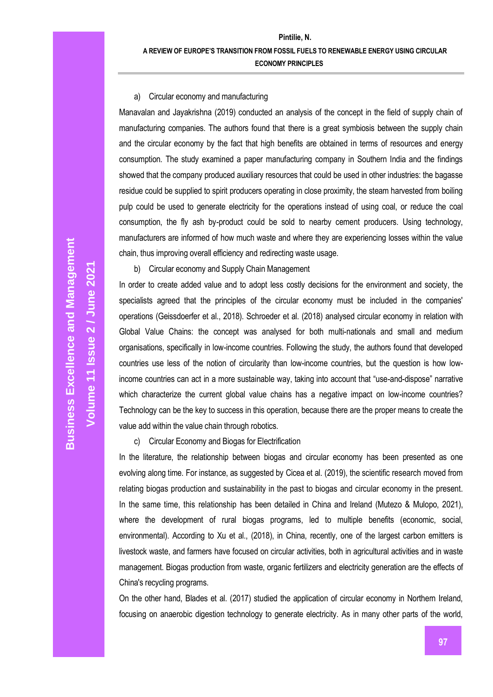#### a) Circular economy and manufacturing

Manavalan and Jayakrishna (2019) conducted an analysis of the concept in the field of supply chain of manufacturing companies. The authors found that there is a great symbiosis between the supply chain and the circular economy by the fact that high benefits are obtained in terms of resources and energy consumption. The study examined a paper manufacturing company in Southern India and the findings showed that the company produced auxiliary resources that could be used in other industries: the bagasse residue could be supplied to spirit producers operating in close proximity, the steam harvested from boiling pulp could be used to generate electricity for the operations instead of using coal, or reduce the coal consumption, the fly ash by-product could be sold to nearby cement producers. Using technology, manufacturers are informed of how much waste and where they are experiencing losses within the value chain, thus improving overall efficiency and redirecting waste usage.

b) Circular economy and Supply Chain Management

In order to create added value and to adopt less costly decisions for the environment and society, the specialists agreed that the principles of the circular economy must be included in the companies' operations (Geissdoerfer et al., 2018). Schroeder et al. (2018) analysed circular economy in relation with Global Value Chains: the concept was analysed for both multi-nationals and small and medium organisations, specifically in low-income countries. Following the study, the authors found that developed countries use less of the notion of circularity than low-income countries, but the question is how lowincome countries can act in a more sustainable way, taking into account that "use-and-dispose" narrative which characterize the current global value chains has a negative impact on low-income countries? Technology can be the key to success in this operation, because there are the proper means to create the value add within the value chain through robotics.

c) Circular Economy and Biogas for Electrification

In the literature, the relationship between biogas and circular economy has been presented as one evolving along time. For instance, as suggested by Cicea et al. (2019), the scientific research moved from relating biogas production and sustainability in the past to biogas and circular economy in the present. In the same time, this relationship has been detailed in China and Ireland (Mutezo & Mulopo, 2021), where the development of rural biogas programs, led to multiple benefits (economic, social, environmental). According to Xu et al., (2018), in China, recently, one of the largest carbon emitters is livestock waste, and farmers have focused on circular activities, both in agricultural activities and in waste management. Biogas production from waste, organic fertilizers and electricity generation are the effects of China's recycling programs.

On the other hand, Blades et al. (2017) studied the application of circular economy in Northern Ireland, focusing on anaerobic digestion technology to generate electricity. As in many other parts of the world,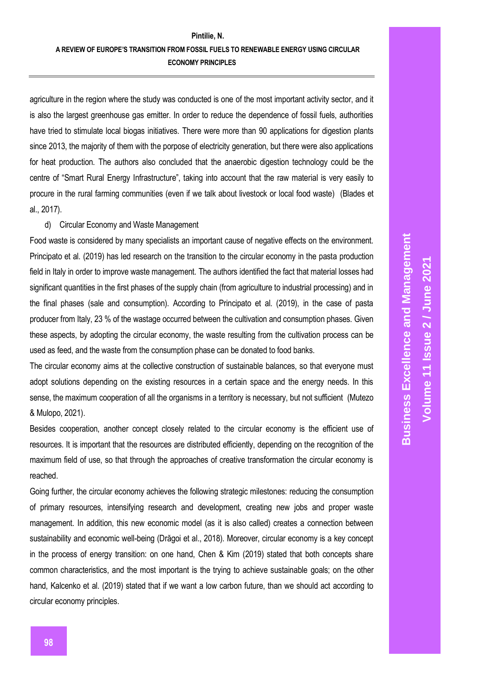agriculture in the region where the study was conducted is one of the most important activity sector, and it is also the largest greenhouse gas emitter. In order to reduce the dependence of fossil fuels, authorities have tried to stimulate local biogas initiatives. There were more than 90 applications for digestion plants since 2013, the majority of them with the porpose of electricity generation, but there were also applications for heat production. The authors also concluded that the anaerobic digestion technology could be the centre of "Smart Rural Energy Infrastructure", taking into account that the raw material is very easily to procure in the rural farming communities (even if we talk about livestock or local food waste) (Blades et al., 2017).

#### d) Circular Economy and Waste Management

Food waste is considered by many specialists an important cause of negative effects on the environment. Principato et al. (2019) has led research on the transition to the circular economy in the pasta production field in Italy in order to improve waste management. The authors identified the fact that material losses had significant quantities in the first phases of the supply chain (from agriculture to industrial processing) and in the final phases (sale and consumption). According to Principato et al. (2019), in the case of pasta producer from Italy, 23 % of the wastage occurred between the cultivation and consumption phases. Given these aspects, by adopting the circular economy, the waste resulting from the cultivation process can be used as feed, and the waste from the consumption phase can be donated to food banks.

The circular economy aims at the collective construction of sustainable balances, so that everyone must adopt solutions depending on the existing resources in a certain space and the energy needs. In this sense, the maximum cooperation of all the organisms in a territory is necessary, but not sufficient (Mutezo & Mulopo, 2021).

Besides cooperation, another concept closely related to the circular economy is the efficient use of resources. It is important that the resources are distributed efficiently, depending on the recognition of the maximum field of use, so that through the approaches of creative transformation the circular economy is reached.

Going further, the circular economy achieves the following strategic milestones: reducing the consumption of primary resources, intensifying research and development, creating new jobs and proper waste management. In addition, this new economic model (as it is also called) creates a connection between sustainability and economic well-being (Drăgoi et al., 2018). Moreover, circular economy is a key concept in the process of energy transition: on one hand, Chen & Kim (2019) stated that both concepts share common characteristics, and the most important is the trying to achieve sustainable goals; on the other hand, Kalcenko et al. (2019) stated that if we want a low carbon future, than we should act according to circular economy principles.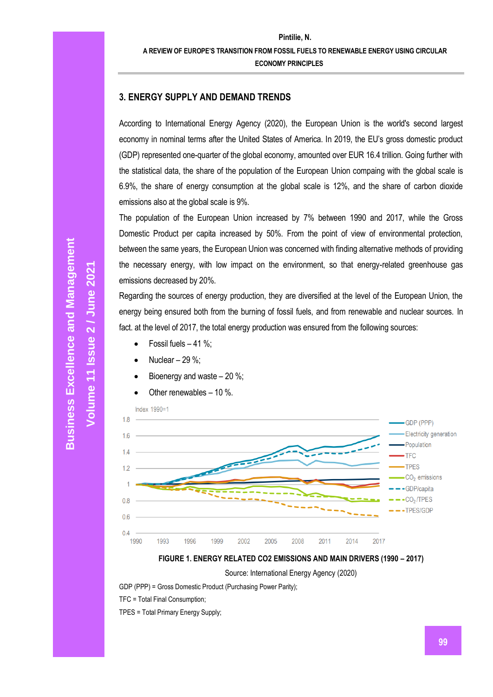## **3. ENERGY SUPPLY AND DEMAND TRENDS**

According to International Energy Agency (2020), the European Union is the world's second largest economy in nominal terms after the United States of America. In 2019, the EU's gross domestic product (GDP) represented one-quarter of the global economy, amounted over EUR 16.4 trillion. Going further with the statistical data, the share of the population of the European Union compaing with the global scale is 6.9%, the share of energy consumption at the global scale is 12%, and the share of carbon dioxide emissions also at the global scale is 9%.

The population of the European Union increased by 7% between 1990 and 2017, while the Gross Domestic Product per capita increased by 50%. From the point of view of environmental protection, between the same years, the European Union was concerned with finding alternative methods of providing the necessary energy, with low impact on the environment, so that energy-related greenhouse gas emissions decreased by 20%.

Regarding the sources of energy production, they are diversified at the level of the European Union, the energy being ensured both from the burning of fossil fuels, and from renewable and nuclear sources. In fact. at the level of 2017, the total energy production was ensured from the following sources:

- Fossil fuels  $-41$  %:
- Nuclear  $-29$ %;
- Bioenergy and waste  $-20\%$ ;

Other renewables  $-10$  %.





Source: International Energy Agency (2020)

GDP (PPP) = Gross Domestic Product (Purchasing Power Parity);

TFC = Total Final Consumption;

TPES = Total Primary Energy Supply;

**Volume 11 Issue**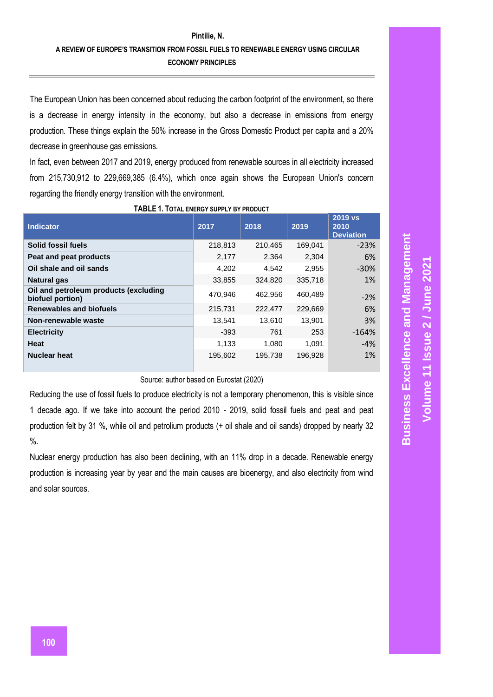The European Union has been concerned about reducing the carbon footprint of the environment, so there is a decrease in energy intensity in the economy, but also a decrease in emissions from energy production. These things explain the 50% increase in the Gross Domestic Product per capita and a 20% decrease in greenhouse gas emissions.

In fact, even between 2017 and 2019, energy produced from renewable sources in all electricity increased from 215,730,912 to 229,669,385 (6.4%), which once again shows the European Union's concern regarding the friendly energy transition with the environment.

| <b>Indicator</b>                                          | 2017    | 2018    | 2019    | 2019 vs<br>2010<br><b>Deviation</b> |
|-----------------------------------------------------------|---------|---------|---------|-------------------------------------|
| Solid fossil fuels                                        | 218,813 | 210,465 | 169,041 | $-23%$                              |
| Peat and peat products                                    | 2,177   | 2.364   | 2,304   | 6%                                  |
| Oil shale and oil sands                                   | 4,202   | 4,542   | 2,955   | $-30%$                              |
| <b>Natural gas</b>                                        | 33,855  | 324,820 | 335,718 | <b>1%</b>                           |
| Oil and petroleum products (excluding<br>biofuel portion) | 470,946 | 462.956 | 460,489 | $-2%$                               |
| <b>Renewables and biofuels</b>                            | 215,731 | 222,477 | 229,669 | 6%                                  |
| Non-renewable waste                                       | 13.541  | 13.610  | 13,901  | 3%                                  |
| <b>Electricity</b>                                        | $-393$  | 761     | 253     | $-164%$                             |
| Heat                                                      | 1,133   | 1.080   | 1.091   | $-4%$                               |
| Nuclear heat                                              | 195,602 | 195,738 | 196,928 | 1%                                  |

**TABLE 1. TOTAL ENERGY SUPPLY BY PRODUCT**

## Source: author based on Eurostat (2020)

Reducing the use of fossil fuels to produce electricity is not a temporary phenomenon, this is visible since 1 decade ago. If we take into account the period 2010 - 2019, solid fossil fuels and peat and peat production felt by 31 %, while oil and petrolium products (+ oil shale and oil sands) dropped by nearly 32  $\%$ .

Nuclear energy production has also been declining, with an 11% drop in a decade. Renewable energy production is increasing year by year and the main causes are bioenergy, and also electricity from wind and solar sources.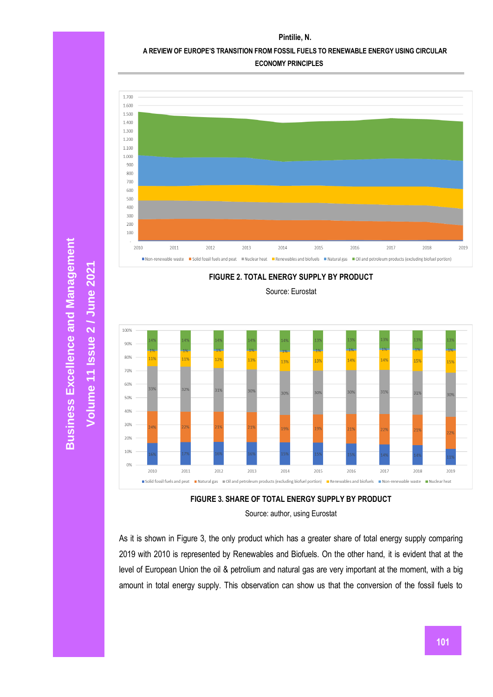#### **Pintilie, N.**

### **A REVIEW OF EUROPE'S TRANSITION FROM FOSSIL FUELS TO RENEWABLE ENERGY USING CIRCULAR**

**ECONOMY PRINCIPLES**





Source: Eurostat





As it is shown in Figure 3, the only product which has a greater share of total energy supply comparing 2019 with 2010 is represented by Renewables and Biofuels. On the other hand, it is evident that at the level of European Union the oil & petrolium and natural gas are very important at the moment, with a big amount in total energy supply. This observation can show us that the conversion of the fossil fuels to

**Business Excellence and Management Business Excellence and Management**

**Volume 11 Issue**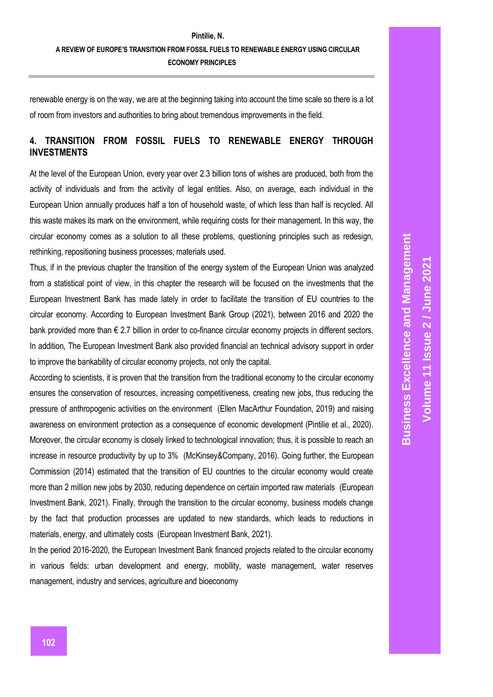renewable energy is on the way, we are at the beginning taking into account the time scale so there is a lot of room from investors and authorities to bring about tremendous improvements in the field.

# **4. TRANSITION FROM FOSSIL FUELS TO RENEWABLE ENERGY THROUGH INVESTMENTS**

At the level of the European Union, every year over 2.3 billion tons of wishes are produced, both from the activity of individuals and from the activity of legal entities. Also, on average, each individual in the European Union annually produces half a ton of household waste, of which less than half is recycled. All this waste makes its mark on the environment, while requiring costs for their management. In this way, the circular economy comes as a solution to all these problems, questioning principles such as redesign, rethinking, repositioning business processes, materials used.

Thus, if in the previous chapter the transition of the energy system of the European Union was analyzed from a statistical point of view, in this chapter the research will be focused on the investments that the European Investment Bank has made lately in order to facilitate the transition of EU countries to the circular economy. According to European Investment Bank Group (2021), between 2016 and 2020 the bank provided more than € 2.7 billion in order to co-finance circular economy projects in different sectors. In addition, The European Investment Bank also provided financial an technical advisory support in order to improve the bankability of circular economy projects, not only the capital.

According to scientists, it is proven that the transition from the traditional economy to the circular economy ensures the conservation of resources, increasing competitiveness, creating new jobs, thus reducing the pressure of anthropogenic activities on the environment (Ellen MacArthur Foundation, 2019) and raising awareness on environment protection as a consequence of economic development (Pintilie et al., 2020). Moreover, the circular economy is closely linked to technological innovation; thus, it is possible to reach an increase in resource productivity by up to 3% (McKinsey&Company, 2016). Going further, the European Commission (2014) estimated that the transition of EU countries to the circular economy would create more than 2 million new jobs by 2030, reducing dependence on certain imported raw materials (European Investment Bank, 2021). Finally, through the transition to the circular economy, business models change by the fact that production processes are updated to new standards, which leads to reductions in materials, energy, and ultimately costs (European Investment Bank, 2021).

In the period 2016-2020, the European Investment Bank financed projects related to the circular economy in various fields: urban development and energy, mobility, waste management, water reserves management, industry and services, agriculture and bioeconomy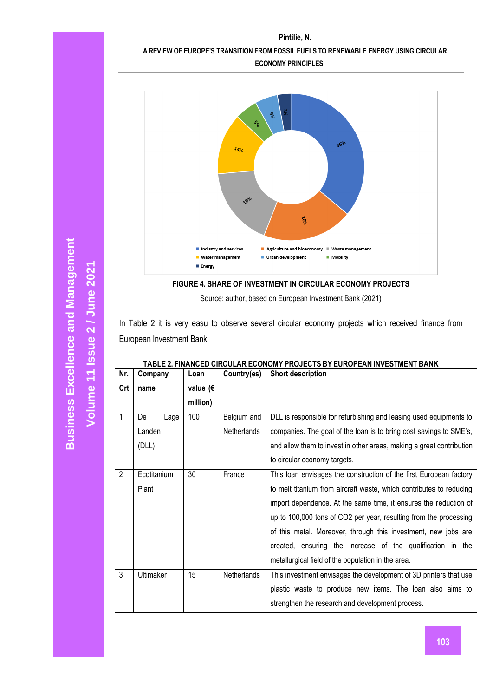## **A REVIEW OF EUROPE'S TRANSITION FROM FOSSIL FUELS TO RENEWABLE ENERGY USING CIRCULAR**

**ECONOMY PRINCIPLES**



**FIGURE 4. SHARE OF INVESTMENT IN CIRCULAR ECONOMY PROJECTS**

Source: author, based on European Investment Bank (2021)

In Table 2 it is very easu to observe several circular economy projects which received finance from European Investment Bank:

| Nr.            | Company          | Loan               | Country(es) | <b>Short description</b>                                             |  |
|----------------|------------------|--------------------|-------------|----------------------------------------------------------------------|--|
| Crt            | name             | value ( $\epsilon$ |             |                                                                      |  |
|                |                  | million)           |             |                                                                      |  |
| 1              | De<br>Lage       | 100                | Belgium and | DLL is responsible for refurbishing and leasing used equipments to   |  |
|                | Landen           |                    | Netherlands | companies. The goal of the loan is to bring cost savings to SME's,   |  |
|                | (DLL)            |                    |             | and allow them to invest in other areas, making a great contribution |  |
|                |                  |                    |             | to circular economy targets.                                         |  |
| $\overline{2}$ | Ecotitanium      | 30                 | France      | This loan envisages the construction of the first European factory   |  |
|                | Plant            |                    |             | to melt titanium from aircraft waste, which contributes to reducing  |  |
|                |                  |                    |             | import dependence. At the same time, it ensures the reduction of     |  |
|                |                  |                    |             | up to 100,000 tons of CO2 per year, resulting from the processing    |  |
|                |                  |                    |             | of this metal. Moreover, through this investment, new jobs are       |  |
|                |                  |                    |             | created, ensuring the increase of the qualification in the           |  |
|                |                  |                    |             | metallurgical field of the population in the area.                   |  |
| 3              | <b>Ultimaker</b> | 15                 | Netherlands | This investment envisages the development of 3D printers that use    |  |
|                |                  |                    |             | plastic waste to produce new items. The loan also aims to            |  |
|                |                  |                    |             | strengthen the research and development process.                     |  |

## **TABLE 2. FINANCED CIRCULAR ECONOMY PROJECTS BY EUROPEAN INVESTMENT BANK**

**Volume 11 Issue**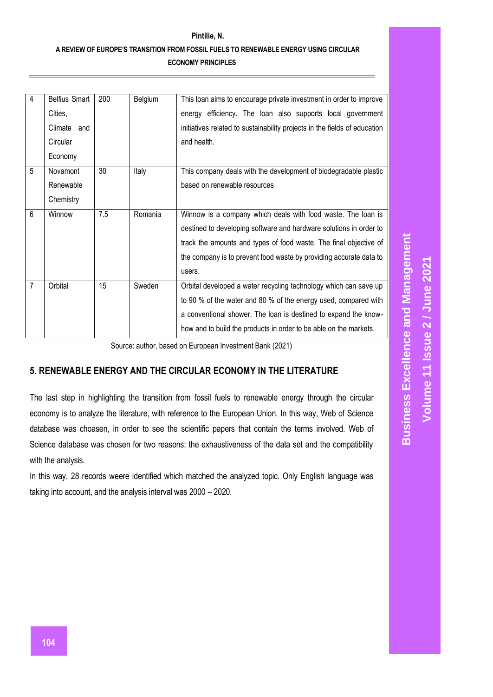| 4              | <b>Belfius Smart</b> | 200 | Belgium | This loan aims to encourage private investment in order to improve        |
|----------------|----------------------|-----|---------|---------------------------------------------------------------------------|
|                | Cities,              |     |         | energy efficiency. The loan also supports local government                |
|                | Climate and          |     |         | initiatives related to sustainability projects in the fields of education |
|                | Circular             |     |         | and health.                                                               |
|                | Economy              |     |         |                                                                           |
| 5              | Novamont             | 30  | Italy   | This company deals with the development of biodegradable plastic          |
|                | Renewable            |     |         | based on renewable resources                                              |
|                | Chemistry            |     |         |                                                                           |
| 6              | Winnow               | 7.5 | Romania | Winnow is a company which deals with food waste. The loan is              |
|                |                      |     |         | destined to developing software and hardware solutions in order to        |
|                |                      |     |         | track the amounts and types of food waste. The final objective of         |
|                |                      |     |         | the company is to prevent food waste by providing accurate data to        |
|                |                      |     |         | users.                                                                    |
| $\overline{7}$ | Orbital              | 15  | Sweden  | Orbital developed a water recycling technology which can save up          |
|                |                      |     |         | to 90 % of the water and 80 % of the energy used, compared with           |
|                |                      |     |         | a conventional shower. The loan is destined to expand the know-           |
|                |                      |     |         | how and to build the products in order to be able on the markets.         |

Source: author, based on European Investment Bank (2021)

## **5. RENEWABLE ENERGY AND THE CIRCULAR ECONOMY IN THE LITERATURE**

The last step in highlighting the transition from fossil fuels to renewable energy through the circular economy is to analyze the literature, with reference to the European Union. In this way, Web of Science database was choasen, in order to see the scientific papers that contain the terms involved. Web of Science database was chosen for two reasons: the exhaustiveness of the data set and the compatibility with the analysis.

In this way, 28 records weere identified which matched the analyzed topic. Only English language was taking into account, and the analysis interval was 2000 – 2020.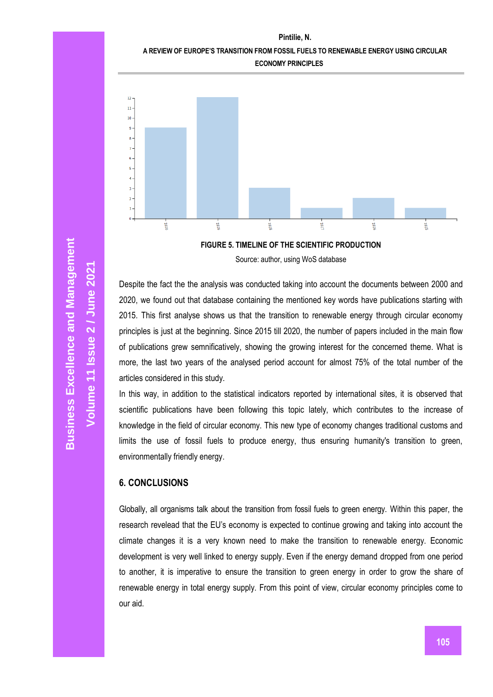**Pintilie, N.**

### **A REVIEW OF EUROPE'S TRANSITION FROM FOSSIL FUELS TO RENEWABLE ENERGY USING CIRCULAR**





**FIGURE 5. TIMELINE OF THE SCIENTIFIC PRODUCTION** Source: author, using WoS database

Despite the fact the the analysis was conducted taking into account the documents between 2000 and 2020, we found out that database containing the mentioned key words have publications starting with 2015. This first analyse shows us that the transition to renewable energy through circular economy principles is just at the beginning. Since 2015 till 2020, the number of papers included in the main flow of publications grew semnificatively, showing the growing interest for the concerned theme. What is more, the last two years of the analysed period account for almost 75% of the total number of the articles considered in this study.

In this way, in addition to the statistical indicators reported by international sites, it is observed that scientific publications have been following this topic lately, which contributes to the increase of knowledge in the field of circular economy. This new type of economy changes traditional customs and limits the use of fossil fuels to produce energy, thus ensuring humanity's transition to green, environmentally friendly energy.

## **6. CONCLUSIONS**

Globally, all organisms talk about the transition from fossil fuels to green energy. Within this paper, the research revelead that the EU's economy is expected to continue growing and taking into account the climate changes it is a very known need to make the transition to renewable energy. Economic development is very well linked to energy supply. Even if the energy demand dropped from one period to another, it is imperative to ensure the transition to green energy in order to grow the share of renewable energy in total energy supply. From this point of view, circular economy principles come to our aid.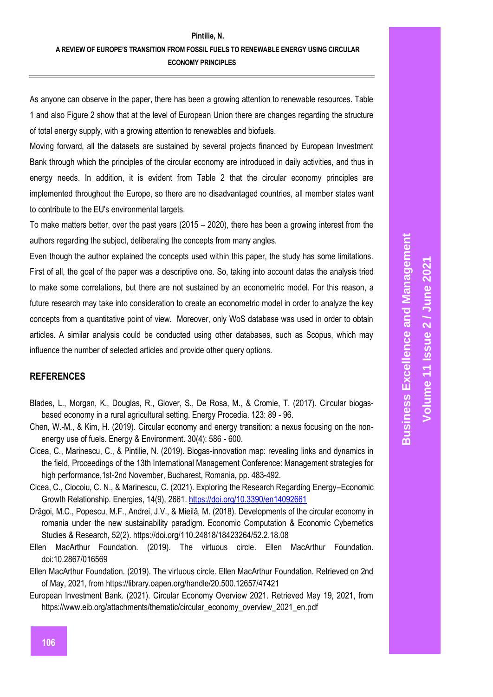As anyone can observe in the paper, there has been a growing attention to renewable resources. Table 1 and also Figure 2 show that at the level of European Union there are changes regarding the structure of total energy supply, with a growing attention to renewables and biofuels.

Moving forward, all the datasets are sustained by several projects financed by European Investment Bank through which the principles of the circular economy are introduced in daily activities, and thus in energy needs. In addition, it is evident from Table 2 that the circular economy principles are implemented throughout the Europe, so there are no disadvantaged countries, all member states want to contribute to the EU's environmental targets.

To make matters better, over the past years (2015 – 2020), there has been a growing interest from the authors regarding the subject, deliberating the concepts from many angles.

Even though the author explained the concepts used within this paper, the study has some limitations. First of all, the goal of the paper was a descriptive one. So, taking into account datas the analysis tried to make some correlations, but there are not sustained by an econometric model. For this reason, a future research may take into consideration to create an econometric model in order to analyze the key concepts from a quantitative point of view. Moreover, only WoS database was used in order to obtain articles. A similar analysis could be conducted using other databases, such as Scopus, which may influence the number of selected articles and provide other query options.

## **REFERENCES**

- Blades, L., Morgan, K., Douglas, R., Glover, S., De Rosa, M., & Cromie, T. (2017). Circular biogasbased economy in a rural agricultural setting. Energy Procedia. 123: 89 - 96.
- Chen, W.-M., & Kim, H. (2019). Circular economy and energy transition: a nexus focusing on the nonenergy use of fuels. Energy & Environment. 30(4): 586 - 600.
- Cicea, C., Marinescu, C., & Pintilie, N. (2019). Biogas-innovation map: revealing links and dynamics in the field, Proceedings of the 13th International Management Conference: Management strategies for high performance, 1st-2nd November, Bucharest, Romania, pp. 483-492.
- Cicea, C., Ciocoiu, C. N., & Marinescu, C. (2021). Exploring the Research Regarding Energy–Economic Growth Relationship. Energies, 14(9), 2661.<https://doi.org/10.3390/en14092661>
- Drăgoi, M.C., Popescu, M.F., Andrei, J.V., & Mieilă, M. (2018). Developments of the circular economy in romania under the new sustainability paradigm. Economic Computation & Economic Cybernetics Studies & Research, 52(2). https://doi.org/110.24818/18423264/52.2.18.08
- Ellen MacArthur Foundation. (2019). The virtuous circle. Ellen MacArthur Foundation. doi:10.2867/016569
- Ellen MacArthur Foundation. (2019). The virtuous circle. Ellen MacArthur Foundation. Retrieved on 2nd of May, 2021, from<https://library.oapen.org/handle/20.500.12657/47421>
- European Investment Bank. (2021). Circular Economy Overview 2021. Retrieved May 19, 2021, from https://www.eib.org/attachments/thematic/circular\_economy\_overview\_2021\_en.pdf